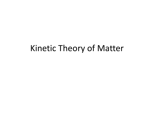### Kinetic Theory of Matter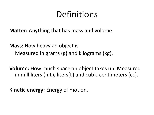## **Definitions**

**Matter:** Anything that has mass and volume.

**Mass:** How heavy an object is. Measured in grams (g) and kilograms (kg).

**Volume:** How much space an object takes up. Measured in milliliters (mL), liters(L) and cubic centimeters (cc).

**Kinetic energy:** Energy of motion.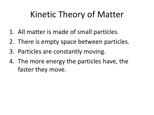# Kinetic Theory of Matter

- 1. All matter is made of small particles.
- 2. There is empty space between particles.
- 3. Particles are constantly moving.
- 4. The more energy the particles have, the faster they move.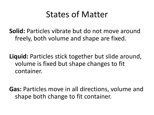### States of Matter

**Solid:** Particles vibrate but do not move around freely, both volume and shape are fixed.

**Liquid:** Particles stick together but slide around, volume is fixed but shape changes to fit container.

**Gas:** Particles move in all directions, volume and shape both change to fit container.